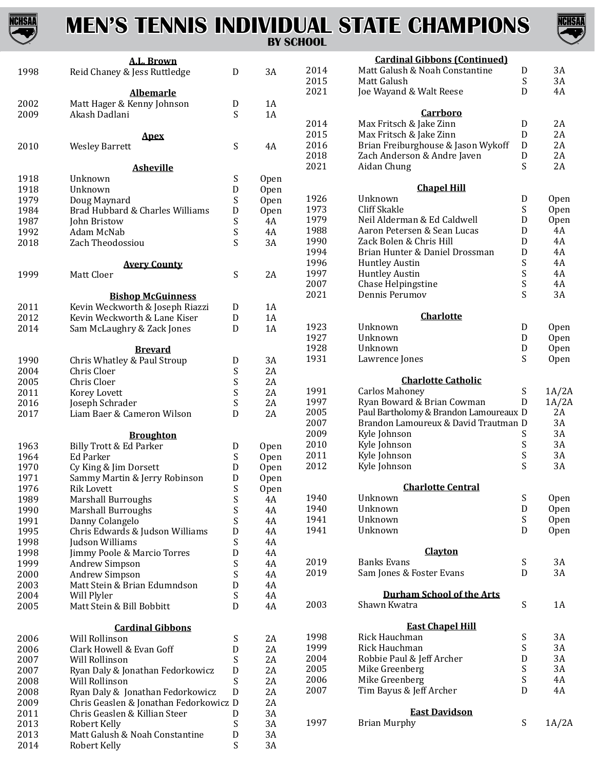

### **MEN'S TENNIS INDIVIDUAL STATE CHAMPIONS BY SCHOOL**



|              | A.L. Brown                                                                 |                           |          |      | <b>Cardinal Gibbons (Continued)</b>      |                                               |       |
|--------------|----------------------------------------------------------------------------|---------------------------|----------|------|------------------------------------------|-----------------------------------------------|-------|
| 1998         | Reid Chaney & Jess Ruttledge                                               | ${\bf D}$                 | 3A       | 2014 | Matt Galush & Noah Constantine           | $\mathbf D$                                   | 3A    |
|              |                                                                            |                           |          | 2015 | Matt Galush                              | S                                             | 3A    |
|              | <b>Albemarle</b>                                                           |                           |          | 2021 | Joe Wayand & Walt Reese                  | D                                             | 4A    |
| 2002         | Matt Hager & Kenny Johnson                                                 | D                         | 1A       |      |                                          |                                               |       |
| 2009         | Akash Dadlani                                                              | S                         | 1A       |      | Carrboro                                 |                                               |       |
|              |                                                                            |                           |          | 2014 | Max Fritsch & Jake Zinn                  | $\mathbf D$                                   | 2A    |
|              | Apex                                                                       |                           |          | 2015 | Max Fritsch & Jake Zinn                  | D                                             | 2A    |
| 2010         | <b>Wesley Barrett</b>                                                      | S                         | 4A       | 2016 | Brian Freiburghouse & Jason Wykoff       | $\mathbf D$                                   | 2A    |
|              |                                                                            |                           |          | 2018 | Zach Anderson & Andre Javen              | D                                             | 2A    |
|              | <b>Asheville</b>                                                           |                           |          | 2021 | Aidan Chung                              | S                                             | 2A    |
| 1918         | Unknown                                                                    | S                         | Open     |      | <b>Chapel Hill</b>                       |                                               |       |
| 1918         | Unknown                                                                    | D                         | Open     | 1926 | Unknown                                  | D                                             | Open  |
| 1979         | Doug Maynard                                                               | $\mathbf S$               | Open     | 1973 | <b>Cliff Skakle</b>                      | S                                             | Open  |
| 1984         | Brad Hubbard & Charles Williams                                            | D                         | Open     | 1979 | Neil Alderman & Ed Caldwell              | D                                             | Open  |
| 1987         | John Bristow                                                               | $\boldsymbol{\mathsf{S}}$ | 4A       | 1988 | Aaron Petersen & Sean Lucas              | D                                             | 4A    |
| 1992         | Adam McNab                                                                 | S<br>S                    | 4A       | 1990 | Zack Bolen & Chris Hill                  | D                                             | 4A    |
| 2018         | Zach Theodossiou                                                           |                           | 3A       | 1994 | Brian Hunter & Daniel Drossman           | D                                             | 4A    |
|              | <b>Avery County</b>                                                        |                           |          | 1996 | <b>Huntley Austin</b>                    | $\boldsymbol{\mathsf{S}}$                     | 4A    |
| 1999         | Matt Cloer                                                                 | S                         | 2A       | 1997 | <b>Huntley Austin</b>                    | $\boldsymbol{\mathsf{S}}$                     | 4A    |
|              |                                                                            |                           |          | 2007 | Chase Helpingstine                       | $\mathbf S$                                   | 4A    |
|              | <b>Bishop McGuinness</b>                                                   |                           |          | 2021 | Dennis Perumov                           | S                                             | 3A    |
| 2011         | Kevin Weckworth & Joseph Riazzi                                            |                           | 1A       |      |                                          |                                               |       |
| 2012         | Kevin Weckworth & Lane Kiser                                               | D<br>${\bf D}$            | 1A       |      | <b>Charlotte</b>                         |                                               |       |
| 2014         | Sam McLaughry & Zack Jones                                                 | ${\rm D}$                 | 1A       | 1923 | Unknown                                  | D                                             | Open  |
|              |                                                                            |                           |          | 1927 | Unknown                                  | D                                             | Open  |
|              | <b>Brevard</b>                                                             |                           |          | 1928 | Unknown                                  | D                                             | Open  |
| 1990         | Chris Whatley & Paul Stroup                                                | D                         | 3A       | 1931 | Lawrence Jones                           | S                                             | Open  |
| 2004         | Chris Cloer                                                                | S                         | 2A       |      |                                          |                                               |       |
| 2005         | Chris Cloer                                                                | S                         | 2A       |      | <b>Charlotte Catholic</b>                |                                               |       |
| 2011         | Korey Lovett                                                               | S                         | 2A       | 1991 | <b>Carlos Mahoney</b>                    | $\boldsymbol{\mathsf{S}}$                     | 1A/2A |
| 2016         | Joseph Schrader                                                            | S                         | 2A       | 1997 | Ryan Boward & Brian Cowman               | D                                             | 1A/2A |
| 2017         | Liam Baer & Cameron Wilson                                                 | D                         | 2A       | 2005 | Paul Bartholomy & Brandon Lamoureaux D   |                                               | 2A    |
|              |                                                                            |                           |          | 2007 | Brandon Lamoureux & David Trautman D     |                                               | 3A    |
|              | <b>Broughton</b>                                                           |                           |          | 2009 | Kyle Johnson                             | S                                             | 3A    |
| 1963         | Billy Trott & Ed Parker                                                    | D                         | Open     | 2010 | Kyle Johnson                             | S                                             | 3A    |
| 1964         | <b>Ed Parker</b>                                                           | S                         | Open     | 2011 | Kyle Johnson                             | $\boldsymbol{\mathsf{S}}$                     | 3A    |
| 1970         | Cy King & Jim Dorsett                                                      | D                         | Open     | 2012 | Kyle Johnson                             | S                                             | 3A    |
| 1971         | Sammy Martin & Jerry Robinson                                              | D                         | Open     |      |                                          |                                               |       |
| 1976         | <b>Rik Lovett</b>                                                          | S                         | Open     |      | <b>Charlotte Central</b>                 |                                               |       |
| 1989         | <b>Marshall Burroughs</b>                                                  | S                         | 4A       | 1940 | Unknown                                  | $\boldsymbol{S}$                              | Open  |
| 1990         | <b>Marshall Burroughs</b>                                                  | S                         | 4A       | 1940 | Unknown                                  | ${\rm D}$                                     | Open  |
| 1991         | Danny Colangelo                                                            | S                         | 4A       | 1941 | Unknown                                  | $\boldsymbol{\mathsf{S}}$                     | Open  |
| 1995         | Chris Edwards & Judson Williams                                            | D                         | 4A       | 1941 | Unknown                                  | D                                             | Open  |
| 1998         | Judson Williams                                                            | S                         | 4A       |      |                                          |                                               |       |
| 1998         | Jimmy Poole & Marcio Torres                                                | D                         | 4A       |      | Clayton                                  |                                               |       |
| 1999         | Andrew Simpson                                                             | S                         | 4A       | 2019 | <b>Banks Evans</b>                       | $\boldsymbol{S}$                              | 3A    |
| 2000         | Andrew Simpson                                                             | $\mathbf S$               | 4A       | 2019 | Sam Jones & Foster Evans                 | D                                             | 3A    |
| 2003         | Matt Stein & Brian Edumndson                                               | D                         | 4A       |      |                                          |                                               |       |
| 2004         | Will Plyler                                                                | ${\sf S}$                 | 4A       |      | <b>Durham School of the Arts</b>         |                                               |       |
| 2005         | Matt Stein & Bill Bobbitt                                                  | D                         | 4A       | 2003 | Shawn Kwatra                             | $\boldsymbol{\mathsf{S}}$                     | 1A    |
|              |                                                                            |                           |          |      |                                          |                                               |       |
|              | <b>Cardinal Gibbons</b>                                                    |                           |          | 1998 | <b>East Chapel Hill</b><br>Rick Hauchman |                                               | 3A    |
| 2006         | Will Rollinson                                                             | S                         | 2A       | 1999 | Rick Hauchman                            | $\boldsymbol{S}$<br>$\boldsymbol{\mathsf{S}}$ | 3A    |
| 2006         | Clark Howell & Evan Goff                                                   | D                         | 2A       | 2004 | Robbie Paul & Jeff Archer                | D                                             | 3A    |
| 2007         | Will Rollinson                                                             | ${\sf S}$                 | 2A       | 2005 | Mike Greenberg                           | $\boldsymbol{\mathsf{S}}$                     | 3A    |
| 2007         | Ryan Daly & Jonathan Fedorkowicz                                           | D                         | 2A       | 2006 | Mike Greenberg                           | $\mathbf S$                                   | 4A    |
| 2008         | Will Rollinson                                                             | ${\sf S}$<br>$\mathbf D$  | 2A       | 2007 | Tim Bayus & Jeff Archer                  | $\mathbf D$                                   | 4A    |
| 2008<br>2009 | Ryan Daly & Jonathan Fedorkowicz<br>Chris Geaslen & Jonathan Fedorkowicz D |                           | 2A<br>2A |      |                                          |                                               |       |
| 2011         | Chris Geaslen & Killian Steer                                              | ${\rm D}$                 | 3A       |      | <b>East Davidson</b>                     |                                               |       |
| 2013         | Robert Kelly                                                               | S                         | 3A       | 1997 | <b>Brian Murphy</b>                      | $\boldsymbol{\mathsf{S}}$                     | 1A/2A |
| 2013         | Matt Galush & Noah Constantine                                             | ${\mathsf D}$             | 3A       |      |                                          |                                               |       |
| 2014         | Robert Kelly                                                               | S                         | 3A       |      |                                          |                                               |       |
|              |                                                                            |                           |          |      |                                          |                                               |       |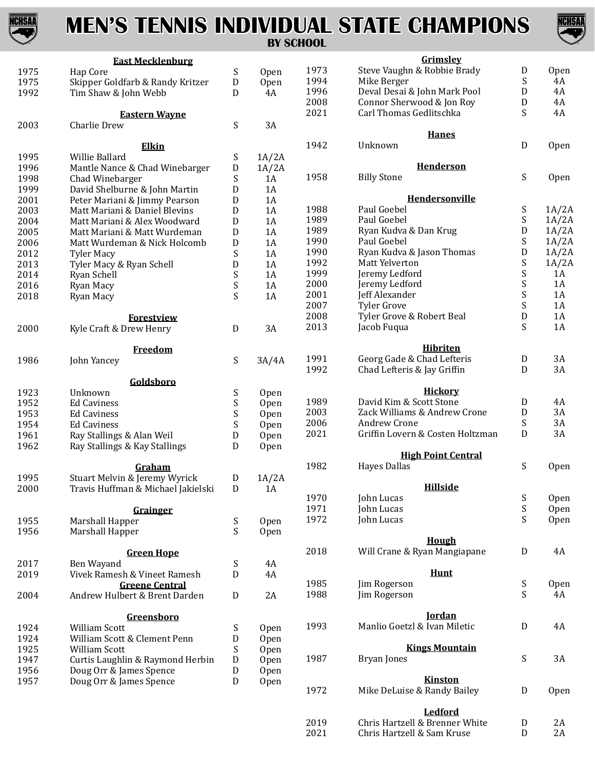

## **MEN'S TENNIS INDIVIDUAL STATE CHAMPIONS**



**BY SCHOOL**

|      | <b>East Mecklenburg</b>                                |                           |             |      | Grimsley                                         |                               |             |
|------|--------------------------------------------------------|---------------------------|-------------|------|--------------------------------------------------|-------------------------------|-------------|
| 1975 | Hap Core                                               | S                         | <b>Open</b> | 1973 | Steve Vaughn & Robbie Brady                      | D                             | <b>Open</b> |
| 1975 | Skipper Goldfarb & Randy Kritzer                       | ${\rm D}$                 | <b>Open</b> | 1994 | Mike Berger                                      | S                             | 4A          |
| 1992 | Tim Shaw & John Webb                                   | D                         | 4A          | 1996 | Deval Desai & John Mark Pool                     | D                             | 4A          |
|      |                                                        |                           |             | 2008 | Connor Sherwood & Jon Roy                        | D                             | 4A          |
|      | <b>Eastern Wayne</b>                                   |                           |             | 2021 | Carl Thomas Gedlitschka                          | S                             | 4A          |
| 2003 | Charlie Drew                                           | S                         | 3A          |      |                                                  |                               |             |
|      |                                                        |                           |             |      | <b>Hanes</b>                                     |                               |             |
|      | Elkin                                                  |                           |             | 1942 | Unknown                                          | $\mathbf D$                   | Open        |
| 1995 | Willie Ballard                                         | S                         | 1A/2A       |      |                                                  |                               |             |
| 1996 | Mantle Nance & Chad Winebarger                         | $\mathbf D$               | 1A/2A       |      | <b>Henderson</b>                                 |                               |             |
| 1998 | Chad Winebarger                                        | S                         | 1A          | 1958 | <b>Billy Stone</b>                               | $\boldsymbol{\mathsf{S}}$     | <b>Open</b> |
| 1999 | David Shelburne & John Martin                          | D                         | 1A          |      |                                                  |                               |             |
| 2001 | Peter Mariani & Jimmy Pearson                          | $\mathbf D$               | 1A          |      | Hendersonville                                   |                               |             |
| 2003 | Matt Mariani & Daniel Blevins                          | D                         | 1A          | 1988 | Paul Goebel                                      | $\boldsymbol{\mathsf{S}}$     | 1A/2A       |
| 2004 | Matt Mariani & Alex Woodward                           | D                         | 1A          | 1989 | Paul Goebel                                      | S                             | 1A/2A       |
| 2005 | Matt Mariani & Matt Wurdeman                           | $\mathbf D$               | 1A          | 1989 | Ryan Kudva & Dan Krug                            | D                             | 1A/2A       |
| 2006 | Matt Wurdeman & Nick Holcomb                           | ${\rm D}$                 | 1A          | 1990 | Paul Goebel                                      | $\boldsymbol{\mathsf{S}}$     | 1A/2A       |
| 2012 | <b>Tyler Macy</b>                                      | $\boldsymbol{\mathsf{S}}$ | 1A          | 1990 | Ryan Kudva & Jason Thomas                        | D                             | 1A/2A       |
| 2013 | Tyler Macy & Ryan Schell                               | ${\rm D}$                 | 1A          | 1992 | Matt Yelverton                                   | S                             | 1A/2A       |
| 2014 | Ryan Schell                                            | $\boldsymbol{\mathsf{S}}$ | 1A          | 1999 | Jeremy Ledford                                   | S                             | 1A          |
| 2016 | Ryan Macy                                              | $\boldsymbol{\mathsf{S}}$ | 1A          | 2000 | Jeremy Ledford                                   | S                             | 1A          |
| 2018 | Ryan Macy                                              | S                         | 1A          | 2001 | Jeff Alexander                                   | $\mathbf S$                   | 1A          |
|      |                                                        |                           |             | 2007 | <b>Tyler Grove</b>                               | $\mathbf S$                   | 1A          |
|      | <b>Forestview</b>                                      |                           |             | 2008 | Tyler Grove & Robert Beal                        | ${\rm D}$                     | 1A          |
| 2000 | Kyle Craft & Drew Henry                                | D                         | 3A          | 2013 | Jacob Fuqua                                      | S                             | 1A          |
|      |                                                        |                           |             |      |                                                  |                               |             |
|      | <b>Freedom</b>                                         |                           |             |      | <b>Hibriten</b>                                  |                               |             |
| 1986 | John Yancey                                            | S                         | 3A/4A       | 1991 | Georg Gade & Chad Lefteris                       | D                             | 3A          |
|      |                                                        |                           |             | 1992 | Chad Lefteris & Jay Griffin                      | D                             | 3A          |
|      | Goldsboro                                              |                           |             |      |                                                  |                               |             |
| 1923 | Unknown                                                | $\boldsymbol{\mathsf{S}}$ | Open        |      | <b>Hickory</b>                                   |                               |             |
| 1952 | <b>Ed Caviness</b>                                     | $\boldsymbol{\mathsf{S}}$ | Open        | 1989 | David Kim & Scott Stone                          | D                             | 4A          |
| 1953 | <b>Ed Caviness</b>                                     | S                         | Open        | 2003 | Zack Williams & Andrew Crone                     | D                             | 3A          |
| 1954 | <b>Ed Caviness</b>                                     | $\boldsymbol{\mathsf{S}}$ | <b>Open</b> | 2006 | Andrew Crone                                     | S                             | 3A          |
| 1961 | Ray Stallings & Alan Weil                              | D                         | Open        | 2021 | Griffin Lovern & Costen Holtzman                 | D                             | 3A          |
| 1962 | Ray Stallings & Kay Stallings                          | D                         | Open        |      |                                                  |                               |             |
|      |                                                        |                           |             | 1982 | <b>High Point Central</b><br><b>Hayes Dallas</b> | S                             |             |
|      | Graham                                                 |                           |             |      |                                                  |                               | Open        |
| 1995 | Stuart Melvin & Jeremy Wyrick                          | ${\rm D}$                 | 1A/2A       |      | <b>Hillside</b>                                  |                               |             |
| 2000 | Travis Huffman & Michael Jakielski                     | D                         | - 1A        | 1970 | John Lucas                                       |                               |             |
|      |                                                        |                           |             | 1971 | John Lucas                                       | ${\sf S}$<br>$\boldsymbol{S}$ | Open        |
|      | <b>Grainger</b>                                        |                           |             | 1972 |                                                  | S                             | Open        |
| 1955 | Marshall Happer                                        | S                         | Open        |      | John Lucas                                       |                               | <b>Open</b> |
| 1956 | Marshall Happer                                        | S                         | Open        |      | <b>Hough</b>                                     |                               |             |
|      | <b>Green Hope</b>                                      |                           |             | 2018 | Will Crane & Ryan Mangiapane                     | $\mathbf D$                   | 4A          |
| 2017 | Ben Wayand                                             | $\boldsymbol{\mathsf{S}}$ | 4A          |      |                                                  |                               |             |
| 2019 | Vivek Ramesh & Vineet Ramesh                           | ${\rm D}$                 | 4A          |      | <b>Hunt</b>                                      |                               |             |
|      |                                                        |                           |             | 1985 | Jim Rogerson                                     | $\boldsymbol{S}$              | Open        |
| 2004 | <b>Greene Central</b><br>Andrew Hulbert & Brent Darden |                           | 2A          | 1988 | Jim Rogerson                                     | S                             | 4A          |
|      |                                                        | D                         |             |      |                                                  |                               |             |
|      | Greensboro                                             |                           |             |      | <b>Iordan</b>                                    |                               |             |
| 1924 | William Scott                                          | S                         | Open        | 1993 | Manlio Goetzl & Ivan Miletic                     | ${\bf D}$                     | 4A          |
| 1924 | William Scott & Clement Penn                           | ${\rm D}$                 | Open        |      |                                                  |                               |             |
| 1925 | William Scott                                          | $\boldsymbol{\mathsf{S}}$ | <b>Open</b> |      | <b>Kings Mountain</b>                            |                               |             |
| 1947 | Curtis Laughlin & Raymond Herbin                       | ${\rm D}$                 | Open        | 1987 | <b>Bryan Jones</b>                               | $\boldsymbol{\mathsf{S}}$     | 3A          |
| 1956 | Doug Orr & James Spence                                | D                         | Open        |      |                                                  |                               |             |
| 1957 | Doug Orr & James Spence                                | D                         |             |      | <b>Kinston</b>                                   |                               |             |
|      |                                                        |                           | <b>Open</b> | 1972 | Mike DeLuise & Randy Bailey                      | D                             | <b>Open</b> |
|      |                                                        |                           |             |      |                                                  |                               |             |
|      |                                                        |                           |             |      | Lodfond                                          |                               |             |

|      | Ledford                        |    |
|------|--------------------------------|----|
| 2019 | Chris Hartzell & Brenner White | 2A |
| 2021 | Chris Hartzell & Sam Kruse     | 2A |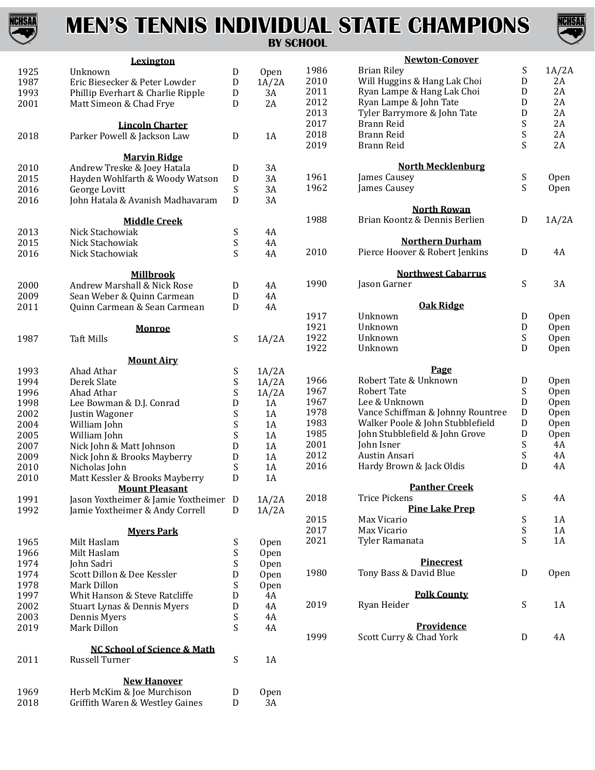

# **MEN'S TENNIS INDIVIDUAL STATE CHAMPIONS**



#### **BY SCHOOL**

|      | Lexington                              |                           |             |      | <b>Newton-Conover</b>             |                           |             |
|------|----------------------------------------|---------------------------|-------------|------|-----------------------------------|---------------------------|-------------|
| 1925 | Unknown                                | D                         | Open        | 1986 | <b>Brian Riley</b>                | S                         | 1A/2A       |
| 1987 | Eric Biesecker & Peter Lowder          | D                         | 1A/2A       | 2010 | Will Huggins & Hang Lak Choi      | $\mathbf D$               | 2A          |
| 1993 | Phillip Everhart & Charlie Ripple      | D                         | 3A          | 2011 | Ryan Lampe & Hang Lak Choi        | D                         | 2A          |
| 2001 | Matt Simeon & Chad Frye                | D                         | 2A          | 2012 | Ryan Lampe & John Tate            | $\mathbf D$               | 2A          |
|      |                                        |                           |             | 2013 | Tyler Barrymore & John Tate       | D                         | 2A          |
|      | <b>Lincoln Charter</b>                 |                           |             | 2017 | Brann Reid                        | S                         | 2A          |
| 2018 | Parker Powell & Jackson Law            | D                         | 1A          | 2018 | Brann Reid                        | S                         | 2A          |
|      |                                        |                           |             | 2019 | Brann Reid                        | S                         | 2A          |
|      | <b>Marvin Ridge</b>                    |                           |             |      |                                   |                           |             |
| 2010 | Andrew Treske & Joey Hatala            | D                         | 3A          |      | <b>North Mecklenburg</b>          |                           |             |
| 2015 | Hayden Wohlfarth & Woody Watson        | D                         | 3A          | 1961 | James Causey                      | S                         | <b>Open</b> |
| 2016 | George Lovitt                          | $\boldsymbol{\mathsf{S}}$ | 3A          | 1962 | James Causey                      | S                         | Open        |
| 2016 | John Hatala & Avanish Madhavaram       | D                         | 3A          |      |                                   |                           |             |
|      |                                        |                           |             |      | <b>North Rowan</b>                |                           |             |
|      | <b>Middle Creek</b>                    |                           |             | 1988 | Brian Koontz & Dennis Berlien     | $\mathbf D$               | 1A/2A       |
| 2013 | Nick Stachowiak                        | S                         | 4A          |      |                                   |                           |             |
| 2015 | Nick Stachowiak                        | $\boldsymbol{\mathsf{S}}$ | 4A          |      | <b>Northern Durham</b>            |                           |             |
| 2016 | Nick Stachowiak                        | S                         | 4A          | 2010 | Pierce Hoover & Robert Jenkins    | $\mathbf D$               | 4A          |
|      |                                        |                           |             |      |                                   |                           |             |
|      | <b>Millbrook</b>                       |                           |             |      | <b>Northwest Cabarrus</b>         |                           |             |
| 2000 | Andrew Marshall & Nick Rose            | D                         | 4A          | 1990 | Jason Garner                      | $\boldsymbol{\mathsf{S}}$ | 3A          |
| 2009 | Sean Weber & Quinn Carmean             | D                         | 4A          |      |                                   |                           |             |
| 2011 | Quinn Carmean & Sean Carmean           | $\mathbf D$               | 4A          |      | <b>Oak Ridge</b>                  |                           |             |
|      |                                        |                           |             | 1917 | Unknown                           | $\mathbf D$               | <b>Open</b> |
|      | <b>Monroe</b>                          |                           |             | 1921 | Unknown                           | $\mathbf D$               | <b>Open</b> |
| 1987 | <b>Taft Mills</b>                      | S                         | 1A/2A       | 1922 | Unknown                           | S                         | <b>Open</b> |
|      |                                        |                           |             | 1922 | Unknown                           | D                         | <b>Open</b> |
|      | <b>Mount Airy</b>                      |                           |             |      |                                   |                           |             |
| 1993 | Ahad Athar                             | $\boldsymbol{\mathsf{S}}$ | 1A/2A       |      | Page                              |                           |             |
| 1994 | Derek Slate                            | $\boldsymbol{\mathsf{S}}$ | 1A/2A       | 1966 | Robert Tate & Unknown             | $\mathbf D$               | <b>Open</b> |
| 1996 | Ahad Athar                             | $\mathbf S$               | 1A/2A       | 1967 | <b>Robert Tate</b>                | S                         | <b>Open</b> |
| 1998 | Lee Bowman & D.J. Conrad               | D                         | 1A          | 1967 | Lee & Unknown                     | D                         | <b>Open</b> |
| 2002 | Justin Wagoner                         | $\boldsymbol{\mathsf{S}}$ | 1A          | 1978 | Vance Schiffman & Johnny Rountree | $\mathbf D$               | <b>Open</b> |
| 2004 | William John                           | S                         | 1A          | 1983 | Walker Poole & John Stubblefield  | ${\rm D}$                 | <b>Open</b> |
| 2005 | William John                           | $\boldsymbol{\mathsf{S}}$ | 1A          | 1985 | John Stubblefield & John Grove    | ${\rm D}$                 | Open        |
| 2007 | Nick John & Matt Johnson               | ${\bf D}$                 | 1A          | 2001 | John Isner                        | S                         | 4A          |
| 2009 | Nick John & Brooks Mayberry            | $\mathbf D$               | 1A          | 2012 | Austin Ansari                     | S                         | 4A          |
| 2010 | Nicholas John                          | S                         | 1A          | 2016 | Hardy Brown & Jack Oldis          | D                         | 4A          |
| 2010 | Matt Kessler & Brooks Mayberry         | D                         | 1A          |      |                                   |                           |             |
|      | <b>Mount Pleasant</b>                  |                           |             |      | <b>Panther Creek</b>              |                           |             |
| 1991 | Jason Yoxtheimer & Jamie Yoxtheimer D  |                           | 1A/2A       | 2018 | <b>Trice Pickens</b>              | ${\mathsf S}$             | 4A          |
| 1992 | Jamie Yoxtheimer & Andy Correll        | D                         | 1A/2A       |      | <b>Pine Lake Prep</b>             |                           |             |
|      |                                        |                           |             | 2015 | Max Vicario                       | S                         | 1A          |
|      | <b>Myers Park</b>                      |                           |             | 2017 | Max Vicario                       | $\boldsymbol{S}$          | 1A          |
| 1965 | Milt Haslam                            | S                         | <b>Open</b> | 2021 | Tyler Ramanata                    | S                         | 1A          |
| 1966 | Milt Haslam                            | ${\sf S}$                 | Open        |      |                                   |                           |             |
| 1974 | John Sadri                             | $\boldsymbol{\mathsf{S}}$ | Open        |      | <b>Pinecrest</b>                  |                           |             |
| 1974 | Scott Dillon & Dee Kessler             | D                         | Open        | 1980 | Tony Bass & David Blue            | ${\rm D}$                 | Open        |
| 1978 | Mark Dillon                            | S                         | Open        |      |                                   |                           |             |
| 1997 | Whit Hanson & Steve Ratcliffe          | D                         | 4A          |      | <b>Polk County</b>                |                           |             |
| 2002 | Stuart Lynas & Dennis Myers            | ${\bf D}$                 | 4A          | 2019 | Ryan Heider                       | $\boldsymbol{\mathsf{S}}$ | 1A          |
| 2003 | Dennis Myers                           | $\boldsymbol{\mathsf{S}}$ | 4A          |      |                                   |                           |             |
| 2019 |                                        | S                         |             |      | Providence                        |                           |             |
|      | Mark Dillon                            |                           | 4A          | 1999 | Scott Curry & Chad York           | $\mathbf D$               | 4A          |
|      | <b>NC School of Science &amp; Math</b> |                           |             |      |                                   |                           |             |
| 2011 | Russell Turner                         | S                         | 1A          |      |                                   |                           |             |
|      |                                        |                           |             |      |                                   |                           |             |
|      | <b>New Hanover</b>                     |                           |             |      |                                   |                           |             |
| 1969 | Herb McKim & Joe Murchison             | D                         | Open        |      |                                   |                           |             |
| 2018 | Griffith Waren & Westley Gaines        | $\mathbf D$               | 3A          |      |                                   |                           |             |
|      |                                        |                           |             |      |                                   |                           |             |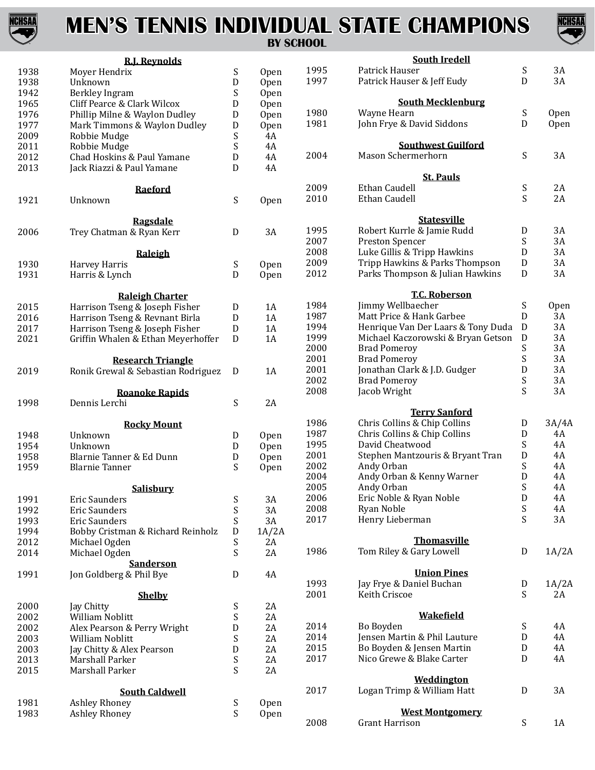

### **MEN'S TENNIS INDIVIDUAL STATE CHAMPIONS BY SCHOOL**



|      | <b>R.J. Reynolds</b>               |                           |       |      | <b>South Iredell</b>               |                           |             |
|------|------------------------------------|---------------------------|-------|------|------------------------------------|---------------------------|-------------|
| 1938 | Moyer Hendrix                      | S                         | Open  | 1995 | Patrick Hauser                     | $\boldsymbol{\mathsf{S}}$ | 3A          |
| 1938 | Unknown                            | D                         | Open  | 1997 | Patrick Hauser & Jeff Eudy         | $\mathbf D$               | 3A          |
| 1942 | Berkley Ingram                     | S                         | Open  |      |                                    |                           |             |
| 1965 | Cliff Pearce & Clark Wilcox        | D                         | Open  |      | <b>South Mecklenburg</b>           |                           |             |
| 1976 | Phillip Milne & Waylon Dudley      | D                         | Open  | 1980 | Wayne Hearn                        | S                         | Open        |
| 1977 | Mark Timmons & Waylon Dudley       | ${\rm D}$                 | Open  | 1981 | John Frye & David Siddons          | D                         | Open        |
| 2009 | Robbie Mudge                       | S                         | 4A    |      |                                    |                           |             |
| 2011 | Robbie Mudge                       | S                         | 4A    |      | <b>Southwest Guilford</b>          |                           |             |
| 2012 | Chad Hoskins & Paul Yamane         | ${\rm D}$                 | 4A    | 2004 | Mason Schermerhorn                 | S                         | 3A          |
| 2013 | Jack Riazzi & Paul Yamane          | D                         | 4A    |      |                                    |                           |             |
|      |                                    |                           |       |      | <b>St. Pauls</b>                   |                           |             |
|      | <b>Raeford</b>                     |                           |       | 2009 | <b>Ethan Caudell</b>               | S                         | 2A          |
| 1921 | Unknown                            | S                         | Open  | 2010 | Ethan Caudell                      | S                         | 2A          |
|      |                                    |                           |       |      |                                    |                           |             |
|      | <b>Ragsdale</b>                    |                           |       |      | <b>Statesville</b>                 |                           |             |
| 2006 | Trey Chatman & Ryan Kerr           | $\mathbf D$               | 3A    | 1995 | Robert Kurrle & Jamie Rudd         | $\mathbf D$               | 3A          |
|      |                                    |                           |       | 2007 | Preston Spencer                    | $\boldsymbol{S}$          | 3A          |
|      | Raleigh                            |                           |       | 2008 | Luke Gillis & Tripp Hawkins        | ${\rm D}$                 | 3A          |
| 1930 | Harvey Harris                      | $\boldsymbol{\mathsf{S}}$ | Open  | 2009 | Tripp Hawkins & Parks Thompson     | ${\rm D}$                 | 3A          |
| 1931 | Harris & Lynch                     | D                         | Open  | 2012 | Parks Thompson & Julian Hawkins    | ${\rm D}$                 | 3A          |
|      |                                    |                           |       |      |                                    |                           |             |
|      | <b>Raleigh Charter</b>             |                           |       |      | <b>T.C. Roberson</b>               |                           |             |
| 2015 | Harrison Tseng & Joseph Fisher     | D                         | 1A    | 1984 | Jimmy Wellbaecher                  | S                         | <b>Open</b> |
| 2016 | Harrison Tseng & Revnant Birla     | ${\rm D}$                 | 1A    | 1987 | Matt Price & Hank Garbee           | D                         | 3A          |
| 2017 | Harrison Tseng & Joseph Fisher     | $\mathbf D$               | 1A    | 1994 | Henrique Van Der Laars & Tony Duda | $\mathbf D$               | 3A          |
| 2021 | Griffin Whalen & Ethan Meyerhoffer | $\mathbf D$               | 1A    | 1999 | Michael Kaczorowski & Bryan Getson | ${\rm D}$                 | 3A          |
|      |                                    |                           |       | 2000 | <b>Brad Pomeroy</b>                | $\boldsymbol{\mathsf{S}}$ | 3A          |
|      | <b>Research Triangle</b>           |                           |       | 2001 | <b>Brad Pomeroy</b>                | $\mathbf S$               | 3A          |
| 2019 | Ronik Grewal & Sebastian Rodriguez | D                         | 1A    | 2001 | Jonathan Clark & J.D. Gudger       | D                         | 3A          |
|      |                                    |                           |       | 2002 | <b>Brad Pomeroy</b>                | $\boldsymbol{\mathsf{S}}$ | 3A          |
|      | <b>Roanoke Rapids</b>              |                           |       | 2008 | Jacob Wright                       | S                         | 3A          |
| 1998 | Dennis Lerchi                      | S                         | 2A    |      |                                    |                           |             |
|      |                                    |                           |       |      | <b>Terry Sanford</b>               |                           |             |
|      | <b>Rocky Mount</b>                 |                           |       | 1986 | Chris Collins & Chip Collins       | ${\rm D}$                 | 3A/4A       |
| 1948 | Unknown                            | D                         | Open  | 1987 | Chris Collins & Chip Collins       | D                         | 4A          |
| 1954 | Unknown                            | $\mathbf D$               | Open  | 1995 | David Cheatwood                    | $\boldsymbol{\mathsf{S}}$ | 4A          |
| 1958 | Blarnie Tanner & Ed Dunn           | ${\bf D}$                 | Open  | 2001 | Stephen Mantzouris & Bryant Tran   | ${\rm D}$                 | 4A          |
| 1959 | <b>Blarnie Tanner</b>              | S                         | Open  | 2002 | Andy Orban                         | $\boldsymbol{\mathsf{S}}$ | 4A          |
|      |                                    |                           |       | 2004 | Andy Orban & Kenny Warner          | $\mathbf D$               | 4A          |
|      | Salisbury                          |                           |       | 2005 | Andy Orban                         | S                         | 4A          |
| 1991 | <b>Eric Saunders</b>               | S                         | 3A    | 2006 | Eric Noble & Ryan Noble            | D                         | 4A          |
| 1992 | <b>Eric Saunders</b>               | S                         | 3A    | 2008 | Ryan Noble                         | $\boldsymbol{\mathsf{S}}$ | 4A          |
| 1993 | <b>Eric Saunders</b>               | $\boldsymbol{\mathsf{S}}$ | 3A    | 2017 | Henry Lieberman                    | $\boldsymbol{\mathsf{S}}$ | 3A          |
| 1994 | Bobby Cristman & Richard Reinholz  | ${\rm D}$                 | 1A/2A |      |                                    |                           |             |
| 2012 | Michael Ogden                      | $\boldsymbol{\mathsf{S}}$ | 2A    |      | <b>Thomasville</b>                 |                           |             |
| 2014 | Michael Ogden                      | S                         | 2A    | 1986 | Tom Riley & Gary Lowell            | $\mathbf D$               | 1A/2A       |
|      | <b>Sanderson</b>                   |                           |       |      |                                    |                           |             |
| 1991 | Jon Goldberg & Phil Bye            | $\mathbf D$               | 4A    |      | <b>Union Pines</b>                 |                           |             |
|      |                                    |                           |       | 1993 | Jay Frye & Daniel Buchan           | D                         | 1A/2A       |
|      | <b>Shelby</b>                      |                           |       | 2001 | Keith Criscoe                      | S                         | 2A          |
| 2000 | Jay Chitty                         | $\boldsymbol{\mathsf{S}}$ | 2A    |      |                                    |                           |             |
| 2002 | William Noblitt                    | $\boldsymbol{\mathsf{S}}$ | 2A    |      | <b>Wakefield</b>                   |                           |             |
| 2002 | Alex Pearson & Perry Wright        | D                         | 2A    | 2014 | Bo Boyden                          | S                         | 4A          |
| 2003 | William Noblitt                    | $\boldsymbol{\mathsf{S}}$ | 2A    | 2014 | Jensen Martin & Phil Lauture       | ${\rm D}$                 | 4A          |
| 2003 | Jay Chitty & Alex Pearson          | ${\rm D}$                 | 2A    | 2015 | Bo Boyden & Jensen Martin          | ${\rm D}$                 | 4A          |
| 2013 | Marshall Parker                    | S                         | 2A    | 2017 | Nico Grewe & Blake Carter          | ${\rm D}$                 | 4A          |
| 2015 | Marshall Parker                    | $\boldsymbol{\mathsf{S}}$ | 2A    |      |                                    |                           |             |
|      |                                    |                           |       |      | Weddington                         |                           |             |
|      | <b>South Caldwell</b>              |                           |       | 2017 | Logan Trimp & William Hatt         | $\mathbf D$               | 3A          |
| 1981 | Ashley Rhoney                      | S                         | Open  |      |                                    |                           |             |
| 1983 | Ashley Rhoney                      | S                         | Open  |      | <b>West Montgomery</b>             |                           |             |
|      |                                    |                           |       | 2008 | <b>Grant Harrison</b>              | S                         | 1A          |